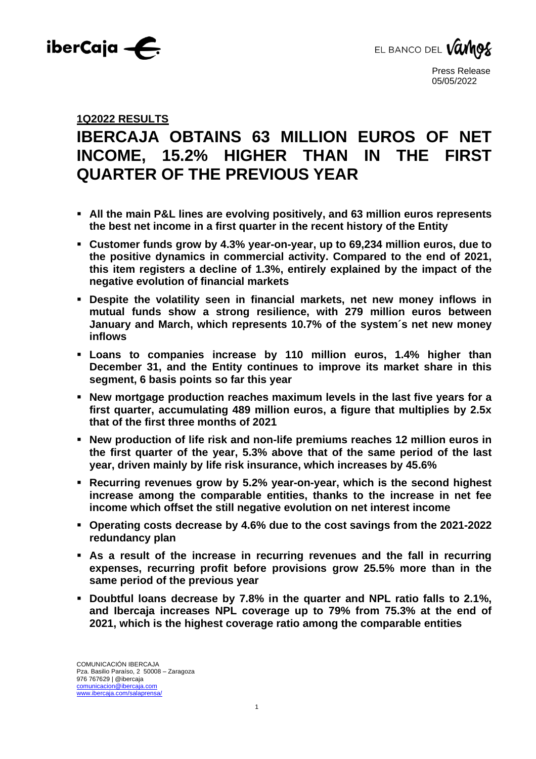



## **1Q2022 RESULTS**

# **IBERCAJA OBTAINS 63 MILLION EUROS OF NET INCOME, 15.2% HIGHER THAN IN THE FIRST QUARTER OF THE PREVIOUS YEAR**

- **All the main P&L lines are evolving positively, and 63 million euros represents the best net income in a first quarter in the recent history of the Entity**
- **Customer funds grow by 4.3% year-on-year, up to 69,234 million euros, due to the positive dynamics in commercial activity. Compared to the end of 2021, this item registers a decline of 1.3%, entirely explained by the impact of the negative evolution of financial markets**
- **Despite the volatility seen in financial markets, net new money inflows in mutual funds show a strong resilience, with 279 million euros between January and March, which represents 10.7% of the system´s net new money inflows**
- **Loans to companies increase by 110 million euros, 1.4% higher than December 31, and the Entity continues to improve its market share in this segment, 6 basis points so far this year**
- **New mortgage production reaches maximum levels in the last five years for a first quarter, accumulating 489 million euros, a figure that multiplies by 2.5x that of the first three months of 2021**
- **New production of life risk and non-life premiums reaches 12 million euros in the first quarter of the year, 5.3% above that of the same period of the last year, driven mainly by life risk insurance, which increases by 45.6%**
- **Recurring revenues grow by 5.2% year-on-year, which is the second highest increase among the comparable entities, thanks to the increase in net fee income which offset the still negative evolution on net interest income**
- **Operating costs decrease by 4.6% due to the cost savings from the 2021-2022 redundancy plan**
- **As a result of the increase in recurring revenues and the fall in recurring expenses, recurring profit before provisions grow 25.5% more than in the same period of the previous year**
- **Doubtful loans decrease by 7.8% in the quarter and NPL ratio falls to 2.1%, and Ibercaja increases NPL coverage up to 79% from 75.3% at the end of 2021, which is the highest coverage ratio among the comparable entities**

1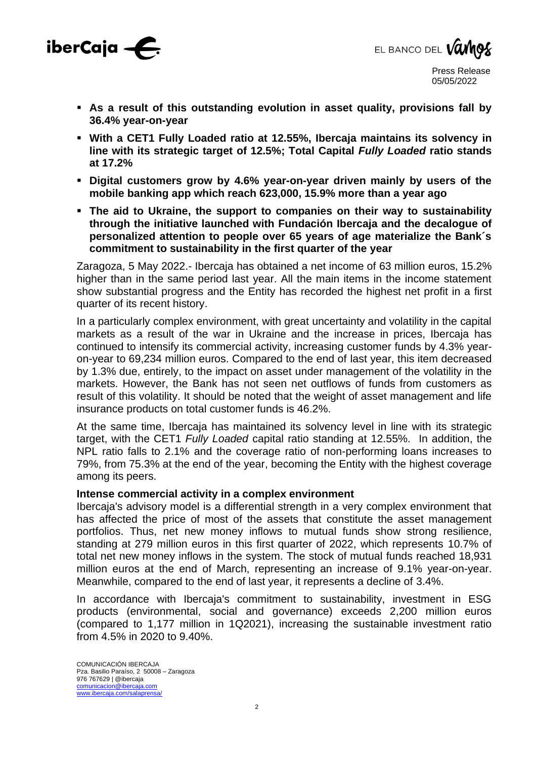



- **As a result of this outstanding evolution in asset quality, provisions fall by 36.4% year-on-year**
- **With a CET1 Fully Loaded ratio at 12.55%, Ibercaja maintains its solvency in line with its strategic target of 12.5%; Total Capital** *Fully Loaded* **ratio stands at 17.2%**
- **Digital customers grow by 4.6% year-on-year driven mainly by users of the mobile banking app which reach 623,000, 15.9% more than a year ago**
- **The aid to Ukraine, the support to companies on their way to sustainability through the initiative launched with Fundación Ibercaja and the decalogue of personalized attention to people over 65 years of age materialize the Bank´s commitment to sustainability in the first quarter of the year**

Zaragoza, 5 May 2022.- Ibercaja has obtained a net income of 63 million euros, 15.2% higher than in the same period last year. All the main items in the income statement show substantial progress and the Entity has recorded the highest net profit in a first quarter of its recent history.

In a particularly complex environment, with great uncertainty and volatility in the capital markets as a result of the war in Ukraine and the increase in prices, Ibercaja has continued to intensify its commercial activity, increasing customer funds by 4.3% yearon-year to 69,234 million euros. Compared to the end of last year, this item decreased by 1.3% due, entirely, to the impact on asset under management of the volatility in the markets. However, the Bank has not seen net outflows of funds from customers as result of this volatility. It should be noted that the weight of asset management and life insurance products on total customer funds is 46.2%.

At the same time, Ibercaja has maintained its solvency level in line with its strategic target, with the CET1 *Fully Loaded* capital ratio standing at 12.55%. In addition, the NPL ratio falls to 2.1% and the coverage ratio of non-performing loans increases to 79%, from 75.3% at the end of the year, becoming the Entity with the highest coverage among its peers.

#### **Intense commercial activity in a complex environment**

Ibercaja's advisory model is a differential strength in a very complex environment that has affected the price of most of the assets that constitute the asset management portfolios. Thus, net new money inflows to mutual funds show strong resilience, standing at 279 million euros in this first quarter of 2022, which represents 10.7% of total net new money inflows in the system. The stock of mutual funds reached 18,931 million euros at the end of March, representing an increase of 9.1% year-on-year. Meanwhile, compared to the end of last year, it represents a decline of 3.4%.

In accordance with Ibercaja's commitment to sustainability, investment in ESG products (environmental, social and governance) exceeds 2,200 million euros (compared to 1,177 million in 1Q2021), increasing the sustainable investment ratio from 4.5% in 2020 to 9.40%.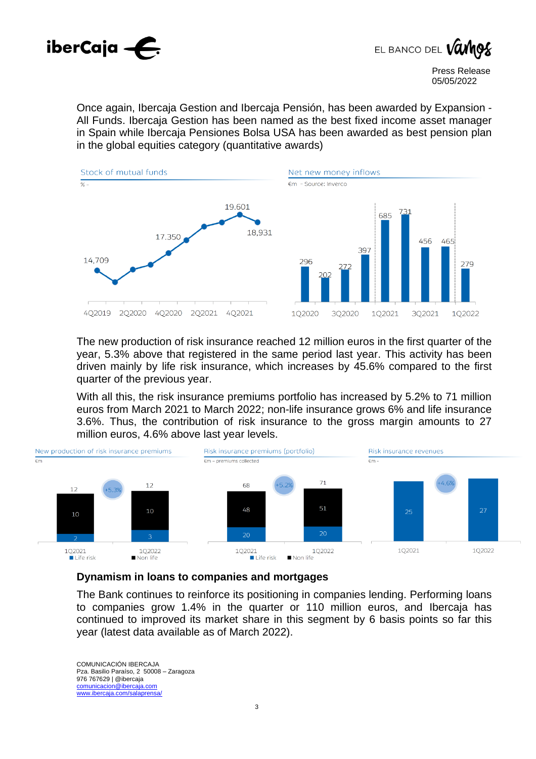



Once again, Ibercaja Gestion and Ibercaja Pensión, has been awarded by Expansion - All Funds. Ibercaja Gestion has been named as the best fixed income asset manager in Spain while Ibercaja Pensiones Bolsa USA has been awarded as best pension plan in the global equities category (quantitative awards)



The new production of risk insurance reached 12 million euros in the first quarter of the year, 5.3% above that registered in the same period last year. This activity has been driven mainly by life risk insurance, which increases by 45.6% compared to the first quarter of the previous year.

With all this, the risk insurance premiums portfolio has increased by 5.2% to 71 million euros from March 2021 to March 2022; non-life insurance grows 6% and life insurance 3.6%. Thus, the contribution of risk insurance to the gross margin amounts to 27 million euros, 4.6% above last year levels.



### **Dynamism in loans to companies and mortgages**

The Bank continues to reinforce its positioning in companies lending. Performing loans to companies grow 1.4% in the quarter or 110 million euros, and Ibercaja has continued to improved its market share in this segment by 6 basis points so far this year (latest data available as of March 2022).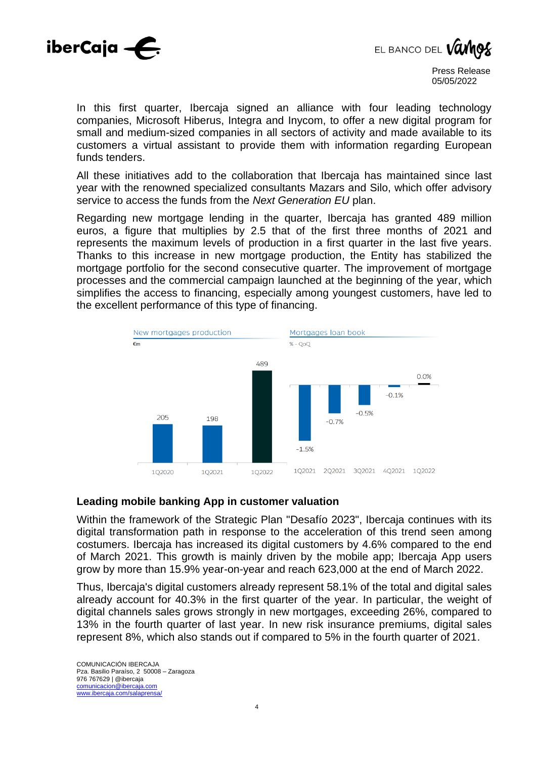



In this first quarter, Ibercaja signed an alliance with four leading technology companies, Microsoft Hiberus, Integra and Inycom, to offer a new digital program for small and medium-sized companies in all sectors of activity and made available to its customers a virtual assistant to provide them with information regarding European funds tenders.

All these initiatives add to the collaboration that Ibercaja has maintained since last year with the renowned specialized consultants Mazars and Silo, which offer advisory service to access the funds from the *Next Generation EU* plan.

Regarding new mortgage lending in the quarter, Ibercaja has granted 489 million euros, a figure that multiplies by 2.5 that of the first three months of 2021 and represents the maximum levels of production in a first quarter in the last five years. Thanks to this increase in new mortgage production, the Entity has stabilized the mortgage portfolio for the second consecutive quarter. The improvement of mortgage processes and the commercial campaign launched at the beginning of the year, which simplifies the access to financing, especially among youngest customers, have led to the excellent performance of this type of financing.



#### **Leading mobile banking App in customer valuation**

Within the framework of the Strategic Plan "Desafío 2023", Ibercaja continues with its digital transformation path in response to the acceleration of this trend seen among costumers. Ibercaja has increased its digital customers by 4.6% compared to the end of March 2021. This growth is mainly driven by the mobile app; Ibercaja App users grow by more than 15.9% year-on-year and reach 623,000 at the end of March 2022.

Thus, Ibercaja's digital customers already represent 58.1% of the total and digital sales already account for 40.3% in the first quarter of the year. In particular, the weight of digital channels sales grows strongly in new mortgages, exceeding 26%, compared to 13% in the fourth quarter of last year. In new risk insurance premiums, digital sales represent 8%, which also stands out if compared to 5% in the fourth quarter of 2021.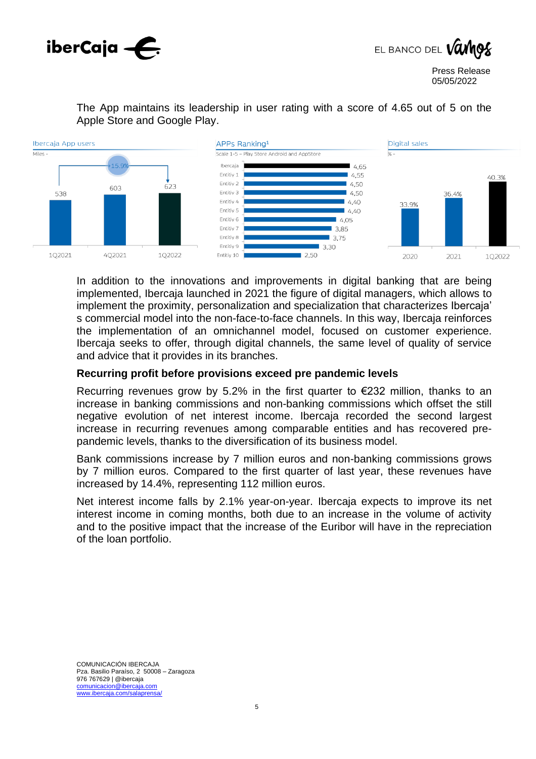



The App maintains its leadership in user rating with a score of 4.65 out of 5 on the Apple Store and Google Play.



In addition to the innovations and improvements in digital banking that are being implemented, Ibercaja launched in 2021 the figure of digital managers, which allows to implement the proximity, personalization and specialization that characterizes Ibercaja' s commercial model into the non-face-to-face channels. In this way, Ibercaja reinforces the implementation of an omnichannel model, focused on customer experience. Ibercaja seeks to offer, through digital channels, the same level of quality of service and advice that it provides in its branches.

#### **Recurring profit before provisions exceed pre pandemic levels**

Recurring revenues grow by 5.2% in the first quarter to  $\epsilon$ 232 million, thanks to an increase in banking commissions and non-banking commissions which offset the still negative evolution of net interest income. Ibercaja recorded the second largest increase in recurring revenues among comparable entities and has recovered prepandemic levels, thanks to the diversification of its business model.

Bank commissions increase by 7 million euros and non-banking commissions grows by 7 million euros. Compared to the first quarter of last year, these revenues have increased by 14.4%, representing 112 million euros.

Net interest income falls by 2.1% year-on-year. Ibercaja expects to improve its net interest income in coming months, both due to an increase in the volume of activity and to the positive impact that the increase of the Euribor will have in the repreciation of the loan portfolio.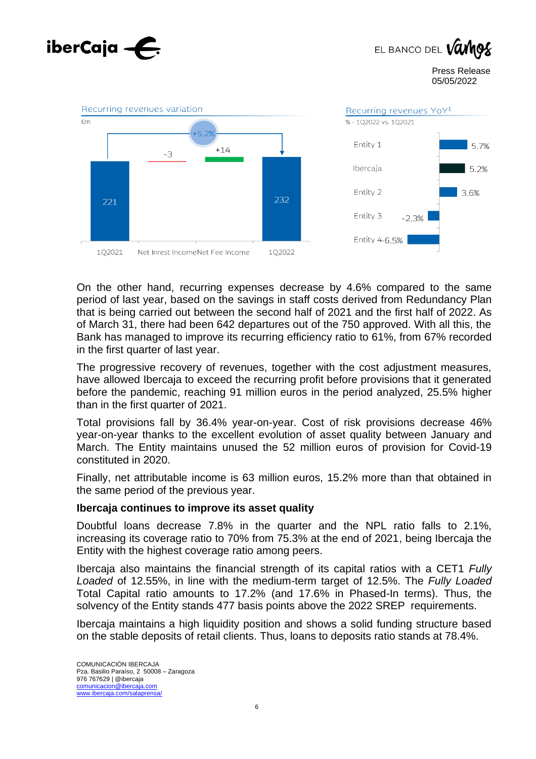

On the other hand, recurring expenses decrease by 4.6% compared to the same period of last year, based on the savings in staff costs derived from Redundancy Plan that is being carried out between the second half of 2021 and the first half of 2022. As of March 31, there had been 642 departures out of the 750 approved. With all this, the Bank has managed to improve its recurring efficiency ratio to 61%, from 67% recorded in the first quarter of last year.

The progressive recovery of revenues, together with the cost adjustment measures, have allowed Ibercaja to exceed the recurring profit before provisions that it generated before the pandemic, reaching 91 million euros in the period analyzed, 25.5% higher than in the first quarter of 2021.

Total provisions fall by 36.4% year-on-year. Cost of risk provisions decrease 46% year-on-year thanks to the excellent evolution of asset quality between January and March. The Entity maintains unused the 52 million euros of provision for Covid-19 constituted in 2020.

Finally, net attributable income is 63 million euros, 15.2% more than that obtained in the same period of the previous year.

#### **Ibercaja continues to improve its asset quality**

Doubtful loans decrease 7.8% in the quarter and the NPL ratio falls to 2.1%, increasing its coverage ratio to 70% from 75.3% at the end of 2021, being Ibercaja the Entity with the highest coverage ratio among peers.

Ibercaja also maintains the financial strength of its capital ratios with a CET1 *Fully Loaded* of 12.55%, in line with the medium-term target of 12.5%. The *Fully Loaded* Total Capital ratio amounts to 17.2% (and 17.6% in Phased-In terms). Thus, the solvency of the Entity stands 477 basis points above the 2022 SREP requirements.

Ibercaja maintains a high liquidity position and shows a solid funding structure based on the stable deposits of retail clients. Thus, loans to deposits ratio stands at 78.4%.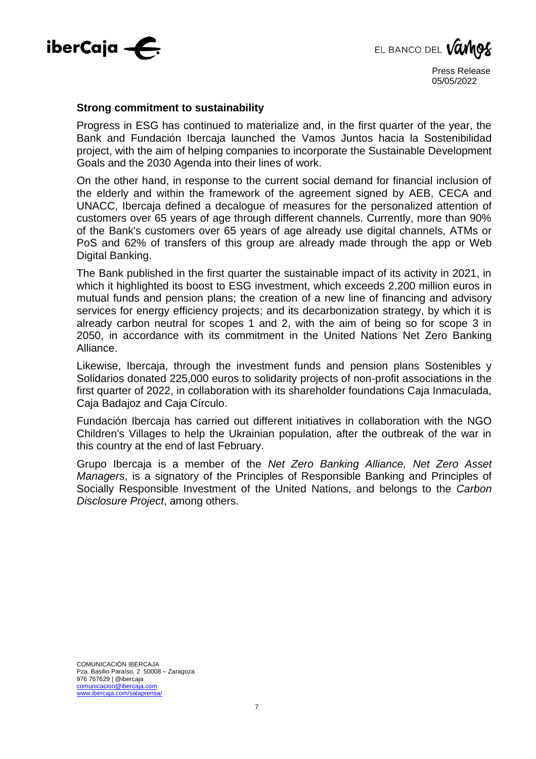



#### **Strong commitment to sustainability**

Progress in ESG has continued to materialize and, in the first quarter of the year, the Bank and Fundación Ibercaja launched the Vamos Juntos hacia la Sostenibilidad project, with the aim of helping companies to incorporate the Sustainable Development Goals and the 2030 Agenda into their lines of work.

On the other hand, in response to the current social demand for financial inclusion of the elderly and within the framework of the agreement signed by AEB, CECA and UNACC, Ibercaja defined a decalogue of measures for the personalized attention of customers over 65 years of age through different channels. Currently, more than 90% of the Bank's customers over 65 years of age already use digital channels, ATMs or PoS and 62% of transfers of this group are already made through the app or Web Digital Banking.

The Bank published in the first quarter the sustainable impact of its activity in 2021, in which it highlighted its boost to ESG investment, which exceeds 2,200 million euros in mutual funds and pension plans; the creation of a new line of financing and advisory services for energy efficiency projects; and its decarbonization strategy, by which it is already carbon neutral for scopes 1 and 2, with the aim of being so for scope 3 in 2050, in accordance with its commitment in the United Nations Net Zero Banking Alliance.

Likewise, Ibercaja, through the investment funds and pension plans Sostenibles y Solidarios donated 225,000 euros to solidarity projects of non-profit associations in the first quarter of 2022, in collaboration with its shareholder foundations Caja Inmaculada, Caja Badajoz and Caja Círculo.

Fundación Ibercaja has carried out different initiatives in collaboration with the NGO Children's Villages to help the Ukrainian population, after the outbreak of the war in this country at the end of last February.

Grupo Ibercaja is a member of the *Net Zero Banking Alliance, Net Zero Asset Managers*, is a signatory of the Principles of Responsible Banking and Principles of Socially Responsible Investment of the United Nations, and belongs to the *Carbon Disclosure Project*, among others.